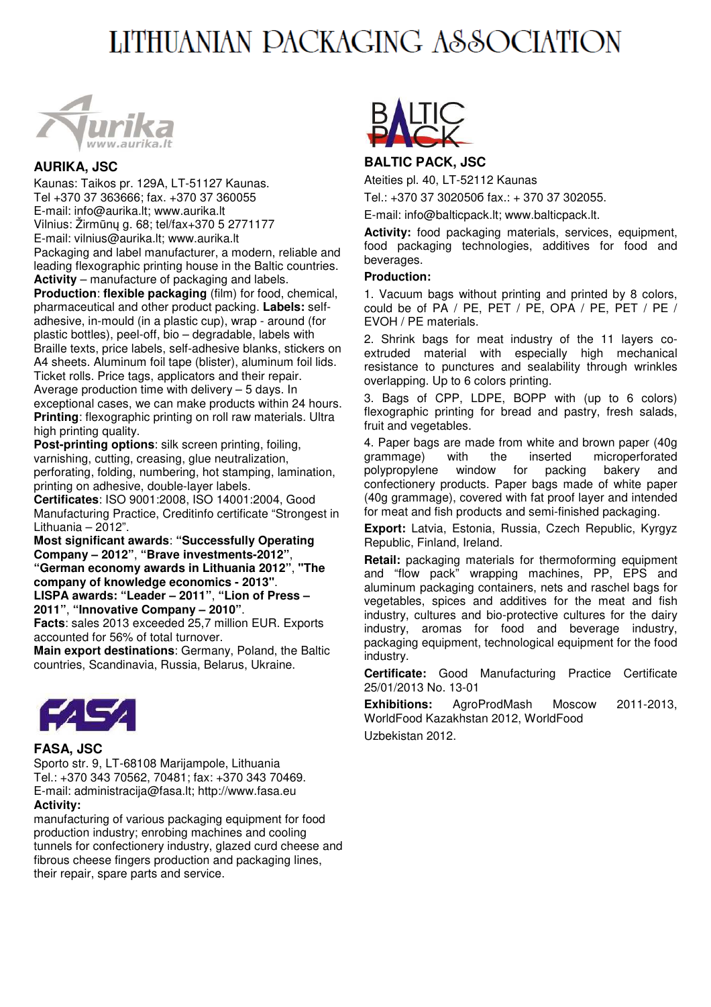# LITHUANIAN PACKAGING ASSOCIATION



# **AURIKA, JSC**

Kaunas: Taikos pr. 129A, LT-51127 Kaunas. Tel +370 37 363666; fax. +370 37 360055 E-mail: info@aurika.lt; www.aurika.lt Vilnius: Žirmūnų g. 68; tel/fax+370 5 2771177 E-mail: vilnius@aurika.lt; www.aurika.lt Packaging and label manufacturer, a modern, reliable and leading flexographic printing house in the Baltic countries. **Activity** – manufacture of packaging and labels.

**Production**: **flexible packaging** (film) for food, chemical, pharmaceutical and other product packing. **Labels:** selfadhesive, in-mould (in a plastic cup), wrap - around (for plastic bottles), peel-off, bio – degradable, labels with Braille texts, price labels, self-adhesive blanks, stickers on A4 sheets. Aluminum foil tape (blister), aluminum foil lids. Ticket rolls. Price tags, applicators and their repair. Average production time with delivery – 5 days. In exceptional cases, we can make products within 24 hours. **Printing**: flexographic printing on roll raw materials. Ultra high printing quality.

**Post-printing options**: silk screen printing, foiling, varnishing, cutting, creasing, glue neutralization, perforating, folding, numbering, hot stamping, lamination, printing on adhesive, double-layer labels.

**Certificates**: ISO 9001:2008, ISO 14001:2004, Good Manufacturing Practice, Creditinfo certificate "Strongest in Lithuania – 2012".

**Most significant awards**: **"Successfully Operating Company – 2012"**, **"Brave investments-2012"**, **"German economy awards in Lithuania 2012"**, **"The company of knowledge economics - 2013"**. **LISPA awards: "Leader – 2011"**, **"Lion of Press –** 

**2011"**, **"Innovative Company – 2010"**.

**Facts**: sales 2013 exceeded 25,7 million EUR. Exports accounted for 56% of total turnover.

**Main export destinations**: Germany, Poland, the Baltic countries, Scandinavia, Russia, Belarus, Ukraine.



# **FASA, JSC**

Sporto str. 9, LT-68108 Marijampole, Lithuania Tel.: +370 343 70562, 70481; fax: +370 343 70469. E-mail: administracija@fasa.lt; http://www.fasa.eu **Activity:** 

manufacturing of various packaging equipment for food production industry; enrobing machines and cooling tunnels for confectionery industry, glazed curd cheese and fibrous cheese fingers production and packaging lines, their repair, spare parts and service.



# **BALTIC PACK, JSC**

Ateities pl. 40, LT-52112 Kaunas

Tel.: +370 37 302050б fax.: + 370 37 302055.

E-mail: info@balticpack.lt; www.balticpack.lt.

**Activity:** food packaging materials, services, equipment, food packaging technologies, additives for food and beverages.

#### **Production:**

1. Vacuum bags without printing and printed by 8 colors, could be of PA / PE, PET / PE, OPA / PE, PET / PE / EVOH / PE materials.

2. Shrink bags for meat industry of the 11 layers coextruded material with especially high mechanical resistance to punctures and sealability through wrinkles overlapping. Up to 6 colors printing.

3. Bags of CPP, LDPE, BOPP with (up to 6 colors) flexographic printing for bread and pastry, fresh salads, fruit and vegetables.

4. Paper bags are made from white and brown paper (40g grammage) with the inserted microperforated polypropylene window for packing bakery and confectionery products. Paper bags made of white paper (40g grammage), covered with fat proof layer and intended for meat and fish products and semi-finished packaging.

**Export:** Latvia, Estonia, Russia, Czech Republic, Kyrgyz Republic, Finland, Ireland.

**Retail:** packaging materials for thermoforming equipment and "flow pack" wrapping machines, PP, EPS and aluminum packaging containers, nets and raschel bags for vegetables, spices and additives for the meat and fish industry, cultures and bio-protective cultures for the dairy industry, aromas for food and beverage industry, packaging equipment, technological equipment for the food industry.

**Certificate:** Good Manufacturing Practice Certificate 25/01/2013 No. 13-01

**Exhibitions:** AgroProdMash Moscow 2011-2013, WorldFood Kazakhstan 2012, WorldFood

Uzbekistan 2012.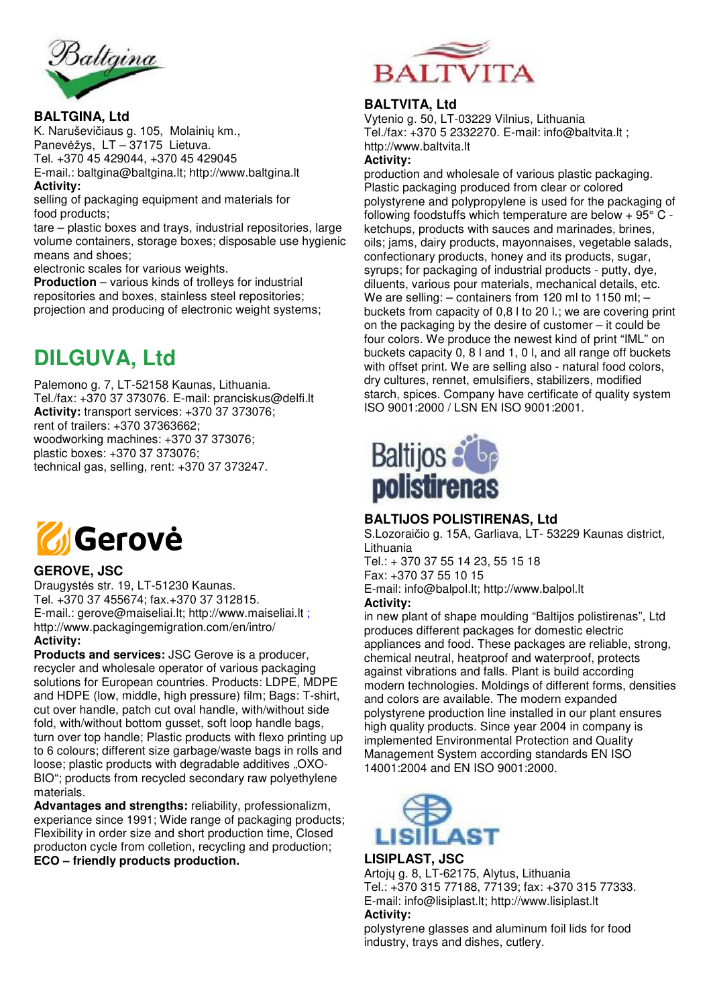

### **BALTGINA, Ltd**

K. Naruševičiaus g. 105, Molainių km., Panevėžys, LT – 37175 Lietuva. Tel. +370 45 429044, +370 45 429045 E-mail.: baltgina@baltgina.lt; http://www.baltgina.lt **Activity:** 

selling of packaging equipment and materials for food products;

tare – plastic boxes and trays, industrial repositories, large volume containers, storage boxes; disposable use hygienic means and shoes;

electronic scales for various weights.

**Production** – various kinds of trolleys for industrial repositories and boxes, stainless steel repositories; projection and producing of electronic weight systems;

# **DILGUVA, Ltd**

Palemono g. 7, LT-52158 Kaunas, Lithuania. Tel./fax: +370 37 373076. E-mail: pranciskus@delfi.lt **Activity:** transport services: +370 37 373076; rent of trailers: +370 37363662; woodworking machines: +370 37 373076; plastic boxes: +370 37 373076; technical gas, selling, rent: +370 37 373247.



# **GEROVE, JSC**

Draugystės str. 19, LT-51230 Kaunas. Tel. +370 37 455674; fax.+370 37 312815. E-mail.: gerove@maiseliai.lt; http://www.maiseliai.lt ; http://www.packagingemigration.com/en/intro/ **Activity:** 

**Products and services:** JSC Gerove is a producer, recycler and wholesale operator of various packaging solutions for European countries. Products: LDPE, MDPE and HDPE (low, middle, high pressure) film; Bags: T-shirt, cut over handle, patch cut oval handle, with/without side fold, with/without bottom gusset, soft loop handle bags, turn over top handle; Plastic products with flexo printing up to 6 colours; different size garbage/waste bags in rolls and loose; plastic products with degradable additives "OXO-BIO"; products from recycled secondary raw polyethylene materials.

**Advantages and strengths:** reliability, professionalizm, experiance since 1991; Wide range of packaging products; Flexibility in order size and short production time, Closed producton cycle from colletion, recycling and production; **ECO – friendly products production.** 



# **BALTVITA, Ltd**

Vytenio g. 50, LT-03229 Vilnius, Lithuania Tel./fax: +370 5 2332270. E-mail: info@baltvita.lt ; http://www.baltvita.lt

#### **Activity:**

production and wholesale of various plastic packaging. Plastic packaging produced from clear or colored polystyrene and polypropylene is used for the packaging of following foodstuffs which temperature are below + 95° C ketchups, products with sauces and marinades, brines, oils; jams, dairy products, mayonnaises, vegetable salads, confectionary products, honey and its products, sugar, syrups; for packaging of industrial products - putty, dye, diluents, various pour materials, mechanical details, etc. We are selling:  $-$  containers from 120 ml to 1150 ml;  $$ buckets from capacity of 0,8 l to 20 l.; we are covering print on the packaging by the desire of customer – it could be four colors. We produce the newest kind of print "IML" on buckets capacity 0, 8 l and 1, 0 l, and all range off buckets with offset print. We are selling also - natural food colors, dry cultures, rennet, emulsifiers, stabilizers, modified starch, spices. Company have certificate of quality system ISO 9001:2000 / LSN EN ISO 9001:2001.



# **BALTIJOS POLISTIRENAS, Ltd**

S.Lozoraičio g. 15A, Garliava, LT- 53229 Kaunas district, Lithuania

Tel.: + 370 37 55 14 23, 55 15 18 Fax: +370 37 55 10 15 E-mail: info@balpol.lt; http://www.balpol.lt **Activity:** 

in new plant of shape moulding "Baltijos polistirenas", Ltd produces different packages for domestic electric appliances and food. These packages are reliable, strong, chemical neutral, heatproof and waterproof, protects against vibrations and falls. Plant is build according modern technologies. Moldings of different forms, densities and colors are available. The modern expanded polystyrene production line installed in our plant ensures high quality products. Since year 2004 in company is implemented Environmental Protection and Quality Management System according standards EN ISO 14001:2004 and EN ISO 9001:2000.



#### **LISIPLAST, JSC**

Artojų g. 8, LT-62175, Alytus, Lithuania Tel.: +370 315 77188, 77139; fax: +370 315 77333. E-mail: info@lisiplast.lt; http://www.lisiplast.lt **Activity:** 

polystyrene glasses and aluminum foil lids for food industry, trays and dishes, cutlery.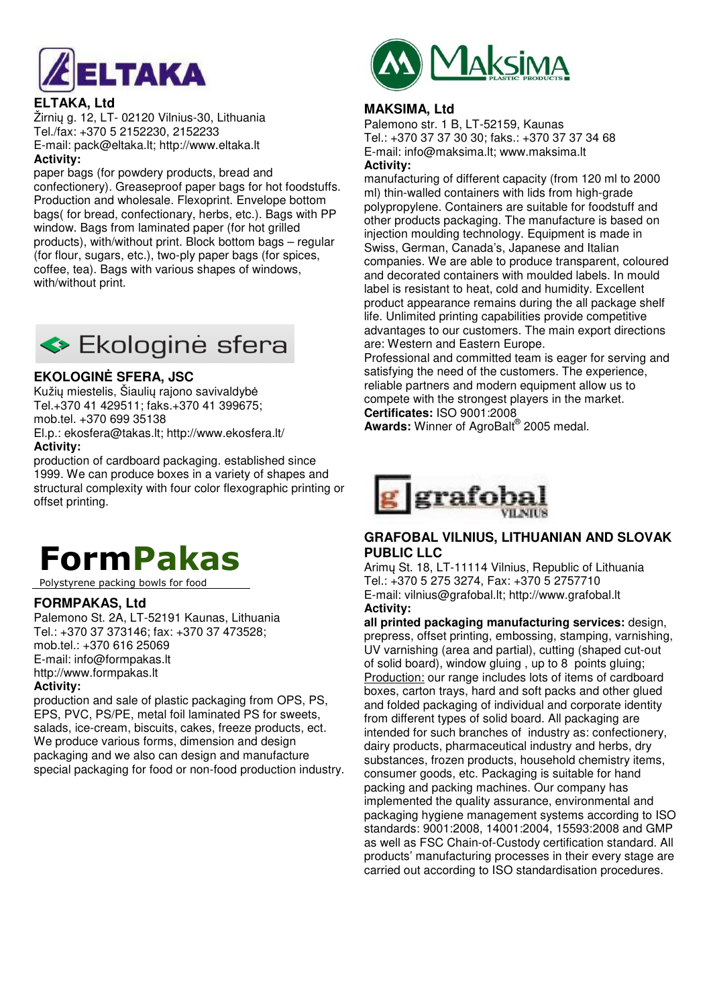

# **ELTAKA, Ltd**

Žirnių g. 12, LT- 02120 Vilnius-30, Lithuania Tel./fax: +370 5 2152230, 2152233 E-mail: pack@eltaka.lt; http://www.eltaka.lt

#### **Activity:**

paper bags (for powdery products, bread and confectionery). Greaseproof paper bags for hot foodstuffs. Production and wholesale. Flexoprint. Envelope bottom bags( for bread, confectionary, herbs, etc.). Bags with PP window. Bags from laminated paper (for hot grilled products), with/without print. Block bottom bags – regular (for flour, sugars, etc.), two-ply paper bags (for spices, coffee, tea). Bags with various shapes of windows, with/without print.



# **EKOLOGINĖ SFERA, JSC**

Kužių miestelis, Šiaulių rajono savivaldybė Tel.+370 41 429511; faks.+370 41 399675; mob.tel. +370 699 35138

El.p.: ekosfera@takas.lt; http://www.ekosfera.lt/ **Activity:** 

production of cardboard packaging. established since 1999. We can produce boxes in a variety of shapes and structural complexity with four color flexographic printing or offset printing.

# **FormPakas**

Polystyrene packing bowls for food

#### **FORMPAKAS, Ltd**

Palemono St. 2A, LT-52191 Kaunas, Lithuania Tel.: +370 37 373146; fax: +370 37 473528; mob.tel.: +370 616 25069 E-mail: info@formpakas.lt http://www.formpakas.lt

#### **Activity:**

production and sale of plastic packaging from OPS, PS, EPS, PVC, PS/PE, metal foil laminated PS for sweets, salads, ice-cream, biscuits, cakes, freeze products, ect. We produce various forms, dimension and design packaging and we also can design and manufacture special packaging for food or non-food production industry.



### **MAKSIMA, Ltd**

Palemono str. 1 B, LT-52159, Kaunas Tel.: +370 37 37 30 30; faks.: +370 37 37 34 68 E-mail: info@maksima.lt; www.maksima.lt **Activity:** 

manufacturing of different capacity (from 120 ml to 2000 ml) thin-walled containers with lids from high-grade polypropylene. Containers are suitable for foodstuff and other products packaging. The manufacture is based on injection moulding technology. Equipment is made in Swiss, German, Canada's, Japanese and Italian companies. We are able to produce transparent, coloured and decorated containers with moulded labels. In mould label is resistant to heat, cold and humidity. Excellent product appearance remains during the all package shelf life. Unlimited printing capabilities provide competitive advantages to our customers. The main export directions are: Western and Eastern Europe.

Professional and committed team is eager for serving and satisfying the need of the customers. The experience, reliable partners and modern equipment allow us to compete with the strongest players in the market. **Certificates:** ISO 9001:2008

**Awards:** Winner of AgroBalt® 2005 medal.



# **GRAFOBAL VILNIUS, LITHUANIAN AND SLOVAK PUBLIC LLC**

Arimų St. 18, LT-11114 Vilnius, Republic of Lithuania Tel.: +370 5 275 3274, Fax: +370 5 2757710 E-mail: vilnius@grafobal.lt; http://www.grafobal.lt **Activity:** 

**all printed packaging manufacturing services:** design, prepress, offset printing, embossing, stamping, varnishing, UV varnishing (area and partial), cutting (shaped cut-out of solid board), window gluing , up to 8 points gluing; Production: our range includes lots of items of cardboard boxes, carton trays, hard and soft packs and other glued and folded packaging of individual and corporate identity from different types of solid board. All packaging are intended for such branches of industry as: confectionery, dairy products, pharmaceutical industry and herbs, dry substances, frozen products, household chemistry items, consumer goods, etc. Packaging is suitable for hand packing and packing machines. Our company has implemented the quality assurance, environmental and packaging hygiene management systems according to ISO standards: 9001:2008, 14001:2004, 15593:2008 and GMP as well as FSC Chain-of-Custody certification standard. All products' manufacturing processes in their every stage are carried out according to ISO standardisation procedures.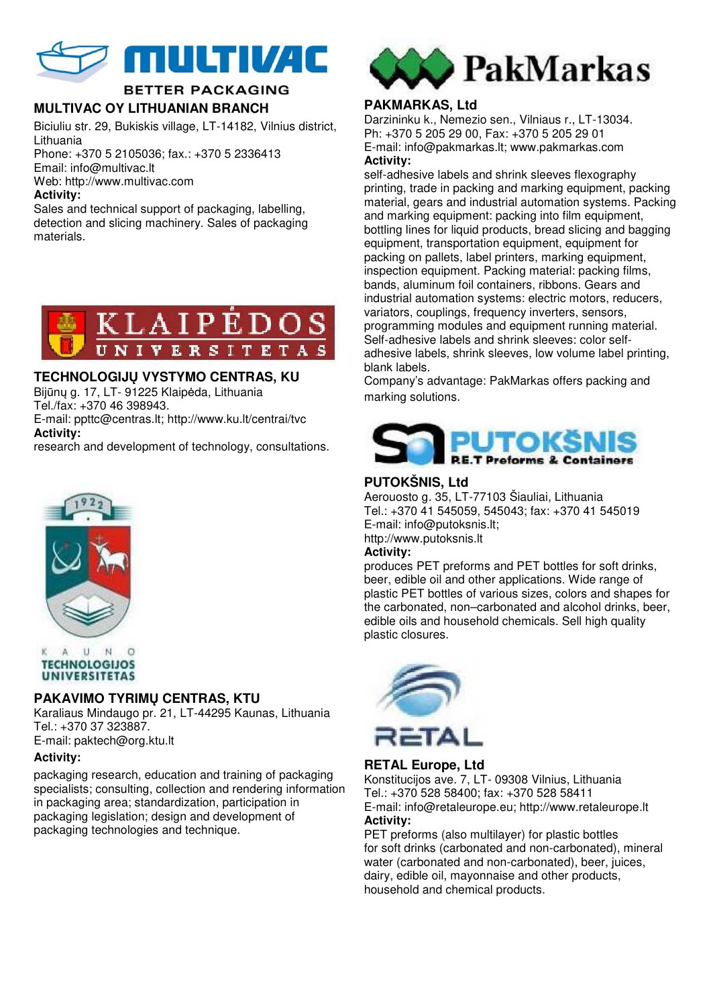

# **BETTER PACKAGING**

# **MULTIVAC OY LITHUANIAN BRANCH**

Biciuliu str. 29, Bukiskis village, LT-14182, Vilnius district, Lithuania

Phone: +370 5 2105036; fax.: +370 5 2336413 Email: info@multivac.lt Web: http://www.multivac.com

# **Activity:**

Sales and technical support of packaging, labelling, detection and slicing machinery. Sales of packaging materials.



# **TECHNOLOGIJŲ VYSTYMO CENTRAS, KU**

Bijūnų g. 17, LT- 91225 Klaipėda, Lithuania Tel./fax: +370 46 398943.

E-mail: ppttc@centras.lt; http://www.ku.lt/centrai/tvc

**Activity:** 

research and development of technology, consultations.





# **PAKAVIMO TYRIMŲ CENTRAS, KTU**

Karaliaus Mindaugo pr. 21, LT-44295 Kaunas, Lithuania Tel.: +370 37 323887. E-mail: paktech@org.ktu.lt

#### **Activity:**

packaging research, education and training of packaging specialists; consulting, collection and rendering information in packaging area; standardization, participation in packaging legislation; design and development of packaging technologies and technique.



# **PAKMARKAS, Ltd**

Darzininku k., Nemezio sen., Vilniaus r., LT-13034. Ph: +370 5 205 29 00, Fax: +370 5 205 29 01 E-mail: info@pakmarkas.lt; www.pakmarkas.com **Activity:** 

self-adhesive labels and shrink sleeves flexography printing, trade in packing and marking equipment, packing material, gears and industrial automation systems. Packing and marking equipment: packing into film equipment, bottling lines for liquid products, bread slicing and bagging equipment, transportation equipment, equipment for packing on pallets, label printers, marking equipment, inspection equipment. Packing material: packing films, bands, aluminum foil containers, ribbons. Gears and industrial automation systems: electric motors, reducers, variators, couplings, frequency inverters, sensors, programming modules and equipment running material. Self-adhesive labels and shrink sleeves: color selfadhesive labels, shrink sleeves, low volume label printing, blank labels.

Company's advantage: PakMarkas offers packing and marking solutions.



# **PUTOKŠNIS, Ltd**

Aerouosto g. 35, LT-77103 Šiauliai, Lithuania Tel.: +370 41 545059, 545043; fax: +370 41 545019 E-mail: info@putoksnis.lt; http://www.putoksnis.lt

#### **Activity:**

produces PET preforms and PET bottles for soft drinks, beer, edible oil and other applications. Wide range of plastic PET bottles of various sizes, colors and shapes for the carbonated, non–carbonated and alcohol drinks, beer, edible oils and household chemicals. Sell high quality plastic closures.



# **RETAL Europe, Ltd**

Konstitucijos ave. 7, LT- 09308 Vilnius, Lithuania Tel.: +370 528 58400; fax: +370 528 58411 E-mail: info@retaleurope.eu; http://www.retaleurope.lt **Activity:** 

PET preforms (also multilayer) for plastic bottles for soft drinks (carbonated and non-carbonated), mineral water (carbonated and non-carbonated), beer, juices, dairy, edible oil, mayonnaise and other products, household and chemical products.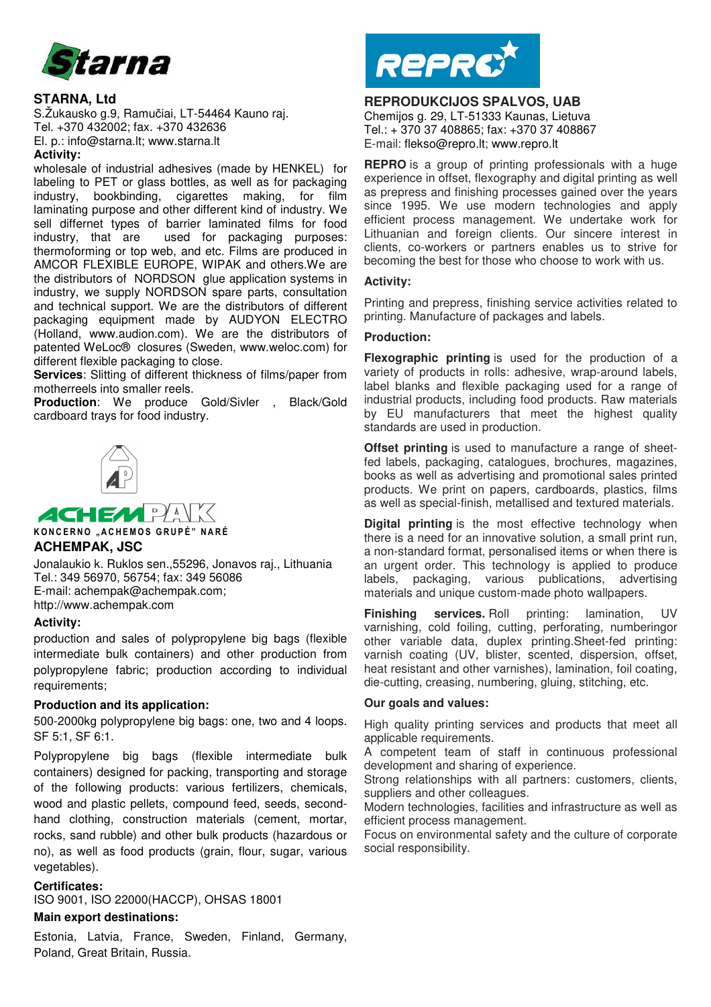

#### **STARNA, Ltd**

S.Žukausko g.9, Ramučiai, LT-54464 Kauno raj. Tel. +370 432002; fax. +370 432636 El. p.: info@starna.lt; www.starna.lt **Activity:** 

#### wholesale of industrial adhesives (made by HENKEL) for labeling to PET or glass bottles, as well as for packaging industry, bookbinding, cigarettes making, for film laminating purpose and other different kind of industry. We sell differnet types of barrier laminated films for food industry, that are used for packaging purposes: thermoforming or top web, and etc. Films are produced in AMCOR FLEXIBLE EUROPE, WIPAK and others.We are the distributors of NORDSON glue application systems in industry, we supply NORDSON spare parts, consultation and technical support. We are the distributors of different packaging equipment made by AUDYON ELECTRO (Holland, www.audion.com). We are the distributors of patented WeLoc® closures (Sweden, www.weloc.com) for different flexible packaging to close.

**Services**: Slitting of different thickness of films/paper from motherreels into smaller reels.

**Production**: We produce Gold/Sivler , Black/Gold cardboard trays for food industry.



**ACHEMPA K O N C E R N O " A C H E M O S G R U P Ė " N A R Ė ACHEMPAK, JSC** 

Jonalaukio k. Ruklos sen.,55296, Jonavos raj., Lithuania Tel.: 349 56970, 56754; fax: 349 56086 E-mail: achempak@achempak.com; http://www.achempak.com

#### **Activity:**

production and sales of polypropylene big bags (flexible intermediate bulk containers) and other production from polypropylene fabric; production according to individual requirements;

#### **Production and its application:**

500-2000kg polypropylene big bags: one, two and 4 loops. SF 5:1, SF 6:1.

Polypropylene big bags (flexible intermediate bulk containers) designed for packing, transporting and storage of the following products: various fertilizers, chemicals, wood and plastic pellets, compound feed, seeds, secondhand clothing, construction materials (cement, mortar, rocks, sand rubble) and other bulk products (hazardous or no), as well as food products (grain, flour, sugar, various vegetables).

#### **Certificates:**

ISO 9001, ISO 22000(HACCP), OHSAS 18001

#### **Main export destinations:**

Estonia, Latvia, France, Sweden, Finland, Germany, Poland, Great Britain, Russia.



# **REPRODUKCIJOS SPALVOS, UAB**

Chemijos g. 29, LT-51333 Kaunas, Lietuva Tel.: + 370 37 408865; fax: +370 37 408867 E-mail: flekso@repro.lt; www.repro.lt

**REPRO** is a group of printing professionals with a huge experience in offset, flexography and digital printing as well as prepress and finishing processes gained over the years since 1995. We use modern technologies and apply efficient process management. We undertake work for Lithuanian and foreign clients. Our sincere interest in clients, co-workers or partners enables us to strive for becoming the best for those who choose to work with us.

#### **Activity:**

Printing and prepress, finishing service activities related to printing. Manufacture of packages and labels.

#### **Production:**

**Flexographic printing** is used for the production of a variety of products in rolls: adhesive, wrap-around labels, label blanks and flexible packaging used for a range of industrial products, including food products. Raw materials by EU manufacturers that meet the highest quality standards are used in production.

**Offset printing** is used to manufacture a range of sheetfed labels, packaging, catalogues, brochures, magazines, books as well as advertising and promotional sales printed products. We print on papers, cardboards, plastics, films as well as special-finish, metallised and textured materials.

**Digital printing** is the most effective technology when there is a need for an innovative solution, a small print run, a non-standard format, personalised items or when there is an urgent order. This technology is applied to produce labels, packaging, various publications, advertising materials and unique custom-made photo wallpapers.

**Finishing services.** Roll printing: lamination, UV varnishing, cold foiling, cutting, perforating, numberingor other variable data, duplex printing.Sheet-fed printing: varnish coating (UV, blister, scented, dispersion, offset, heat resistant and other varnishes), lamination, foil coating, die-cutting, creasing, numbering, gluing, stitching, etc.

#### **Our goals and values:**

High quality printing services and products that meet all applicable requirements.

A competent team of staff in continuous professional development and sharing of experience.

Strong relationships with all partners: customers, clients, suppliers and other colleagues.

Modern technologies, facilities and infrastructure as well as efficient process management.

Focus on environmental safety and the culture of corporate social responsibility.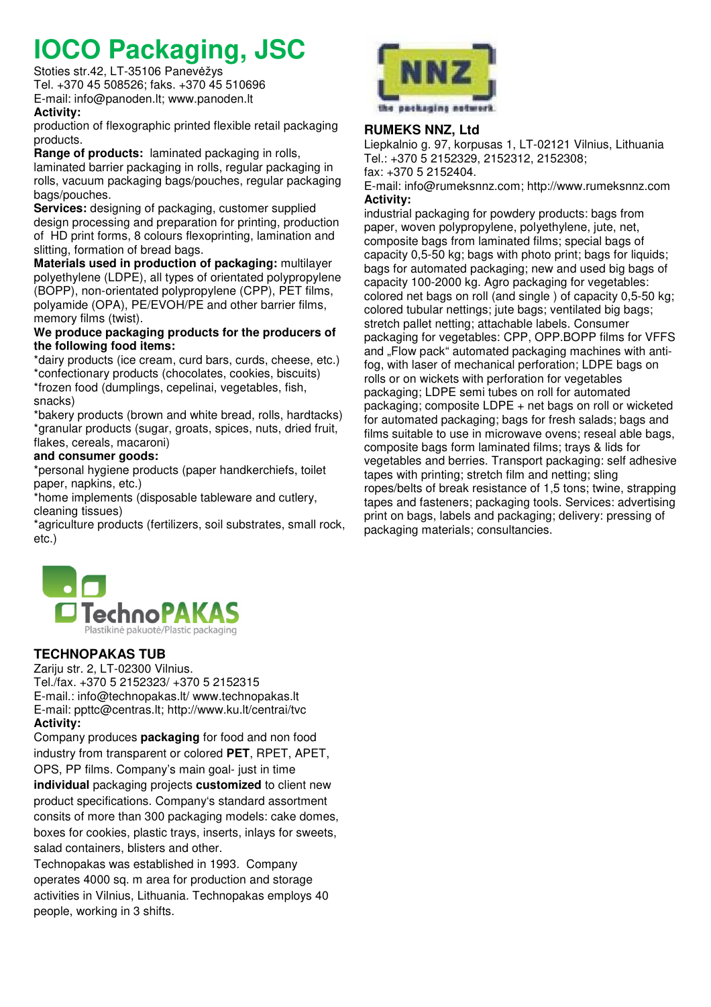# **IOCO Packaging, JSC**

Stoties str.42, LT-35106 Panevėžys Tel. +370 45 508526; faks. +370 45 510696 E-mail: info@panoden.lt; www.panoden.lt

#### **Activity:**

production of flexographic printed flexible retail packaging products.

**Range of products:** laminated packaging in rolls, laminated barrier packaging in rolls, regular packaging in rolls, vacuum packaging bags/pouches, regular packaging bags/pouches.

**Services:** designing of packaging, customer supplied design processing and preparation for printing, production of HD print forms, 8 colours flexoprinting, lamination and slitting, formation of bread bags.

**Materials used in production of packaging:** multilayer polyethylene (LDPE), all types of orientated polypropylene (BOPP), non-orientated polypropylene (CPP), PET films, polyamide (OPA), PE/EVOH/PE and other barrier films, memory films (twist).

#### **We produce packaging products for the producers of the following food items:**

\*dairy products (ice cream, curd bars, curds, cheese, etc.) \*confectionary products (chocolates, cookies, biscuits) \*frozen food (dumplings, cepelinai, vegetables, fish, snacks)

\*bakery products (brown and white bread, rolls, hardtacks) \*granular products (sugar, groats, spices, nuts, dried fruit, flakes, cereals, macaroni)

### **and consumer goods:**

\*personal hygiene products (paper handkerchiefs, toilet paper, napkins, etc.)

\*home implements (disposable tableware and cutlery, cleaning tissues)

\*agriculture products (fertilizers, soil substrates, small rock, etc.)



# **RUMEKS NNZ, Ltd**

Liepkalnio g. 97, korpusas 1, LT-02121 Vilnius, Lithuania Tel.: +370 5 2152329, 2152312, 2152308;

fax: +370 5 2152404. E-mail: info@rumeksnnz.com; http://www.rumeksnnz.com

#### **Activity:**

industrial packaging for powdery products: bags from paper, woven polypropylene, polyethylene, jute, net, composite bags from laminated films; special bags of capacity 0,5-50 kg; bags with photo print; bags for liquids; bags for automated packaging; new and used big bags of capacity 100-2000 kg. Agro packaging for vegetables: colored net bags on roll (and single ) of capacity 0,5-50 kg; colored tubular nettings; jute bags; ventilated big bags; stretch pallet netting; attachable labels. Consumer packaging for vegetables: CPP, OPP.BOPP films for VFFS and "Flow pack" automated packaging machines with antifog, with laser of mechanical perforation; LDPE bags on rolls or on wickets with perforation for vegetables packaging; LDPE semi tubes on roll for automated packaging; composite LDPE + net bags on roll or wicketed for automated packaging; bags for fresh salads; bags and films suitable to use in microwave ovens; reseal able bags, composite bags form laminated films; trays & lids for vegetables and berries. Transport packaging: self adhesive tapes with printing; stretch film and netting; sling ropes/belts of break resistance of 1,5 tons; twine, strapping tapes and fasteners; packaging tools. Services: advertising print on bags, labels and packaging; delivery: pressing of packaging materials; consultancies.



# **TECHNOPAKAS TUB**

Zariju str. 2, LT-02300 Vilnius. Tel./fax. +370 5 2152323/ +370 5 2152315 E-mail.: info@technopakas.lt/ www.technopakas.lt E-mail: ppttc@centras.lt; http://www.ku.lt/centrai/tvc **Activity:** 

Company produces **packaging** for food and non food industry from transparent or colored **PET**, RPET, APET, OPS, PP films. Company's main goal- just in time

**individual** packaging projects **customized** to client new product specifications. Company's standard assortment consits of more than 300 packaging models: cake domes, boxes for cookies, plastic trays, inserts, inlays for sweets, salad containers, blisters and other.

Technopakas was established in 1993. Company operates 4000 sq. m area for production and storage activities in Vilnius, Lithuania. Technopakas employs 40 people, working in 3 shifts.